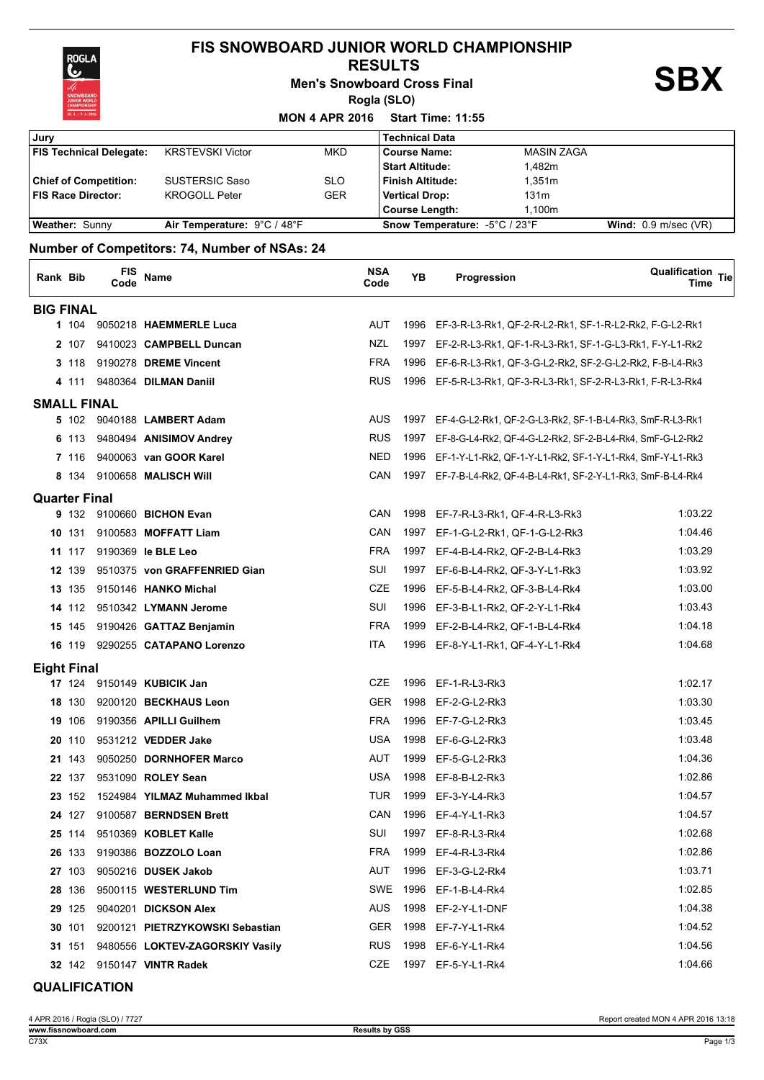

## **FIS SNOWBOARD JUNIOR WORLD CHAMPIONSHIP**

 **RESULTS**

**Men's Snowboard Cross Final**

**Rogla (SLO)**

**SBX**

|                       | $i$ vyia (ULV) |                          |  |
|-----------------------|----------------|--------------------------|--|
| <b>MON 4 APR 2016</b> |                | <b>Start Time: 11:55</b> |  |

| and the contract of the contract of the contract of the contract of the contract of the contract of the contract of |  |  |
|---------------------------------------------------------------------------------------------------------------------|--|--|
|                                                                                                                     |  |  |

| l Jurv                         |                             |            | . Technical Data                     |                   |                               |
|--------------------------------|-----------------------------|------------|--------------------------------------|-------------------|-------------------------------|
| <b>FIS Technical Delegate:</b> | <b>KRSTEVSKI Victor</b>     | <b>MKD</b> | l Course Name:                       | <b>MASIN ZAGA</b> |                               |
|                                |                             |            | l Start Altitude:                    | 1.482m            |                               |
| <b>Chief of Competition:</b>   | <b>SUSTERSIC Saso</b>       | <b>SLO</b> | l Finish Altitude:                   | 1.351m            |                               |
| <b>FIS Race Director:</b>      | <b>KROGOLL Peter</b>        | GER        | <b>Vertical Drop:</b>                | 131m              |                               |
|                                |                             |            | Course Length:                       | 1.100m            |                               |
| Weather: Sunny                 | Air Temperature: 9°C / 48°F |            | <b>Snow Temperature: -5°C / 23°F</b> |                   | <b>Wind:</b> $0.9$ m/sec (VR) |

#### **Number of Competitors: 74, Number of NSAs: 24**

| Rank Bib             |        | FIS<br>Code | <b>Name</b>                     | <b>NSA</b><br>Code | YΒ   | Progression                                                    | Qualification Tie<br><b>Time</b> |
|----------------------|--------|-------------|---------------------------------|--------------------|------|----------------------------------------------------------------|----------------------------------|
| <b>BIG FINAL</b>     |        |             |                                 |                    |      |                                                                |                                  |
|                      | 1 104  |             | 9050218 HAEMMERLE Luca          | AUT                |      | 1996 EF-3-R-L3-Rk1, QF-2-R-L2-Rk1, SF-1-R-L2-Rk2, F-G-L2-Rk1   |                                  |
|                      | 2 107  |             | 9410023 CAMPBELL Duncan         | NZL                |      | 1997 EF-2-R-L3-Rk1, QF-1-R-L3-Rk1, SF-1-G-L3-Rk1, F-Y-L1-Rk2   |                                  |
|                      | 3 118  |             | 9190278 DREME Vincent           | <b>FRA</b>         |      | 1996 EF-6-R-L3-Rk1, QF-3-G-L2-Rk2, SF-2-G-L2-Rk2, F-B-L4-Rk3   |                                  |
|                      |        |             | 4 111 9480364 DILMAN Daniil     | <b>RUS</b>         |      | 1996 EF-5-R-L3-Rk1, QF-3-R-L3-Rk1, SF-2-R-L3-Rk1, F-R-L3-Rk4   |                                  |
| <b>SMALL FINAL</b>   |        |             |                                 |                    |      |                                                                |                                  |
|                      |        |             | 5 102 9040188 LAMBERT Adam      | AUS                |      | 1997 EF-4-G-L2-Rk1, QF-2-G-L3-Rk2, SF-1-B-L4-Rk3, SmF-R-L3-Rk1 |                                  |
|                      | 6 113  |             | 9480494 ANISIMOV Andrey         | <b>RUS</b>         |      | 1997 EF-8-G-L4-Rk2, QF-4-G-L2-Rk2, SF-2-B-L4-Rk4, SmF-G-L2-Rk2 |                                  |
|                      | 7 116  |             | 9400063 van GOOR Karel          | NED                |      | 1996 EF-1-Y-L1-Rk2, QF-1-Y-L1-Rk2, SF-1-Y-L1-Rk4, SmF-Y-L1-Rk3 |                                  |
|                      | 8 134  |             | 9100658 MALISCH Will            | CAN                |      | 1997 EF-7-B-L4-Rk2, QF-4-B-L4-Rk1, SF-2-Y-L1-Rk3, SmF-B-L4-Rk4 |                                  |
| <b>Quarter Final</b> |        |             |                                 |                    |      |                                                                |                                  |
|                      | 9 132  |             | 9100660 BICHON Evan             | CAN                |      | 1998 EF-7-R-L3-Rk1, QF-4-R-L3-Rk3                              | 1:03.22                          |
|                      | 10 131 |             | 9100583 MOFFATT Liam            | CAN                |      | 1997 EF-1-G-L2-Rk1, QF-1-G-L2-Rk3                              | 1:04.46                          |
|                      | 11 117 |             | 9190369 le BLE Leo              | <b>FRA</b>         |      | 1997 EF-4-B-L4-Rk2, QF-2-B-L4-Rk3                              | 1:03.29                          |
|                      | 12 139 |             | 9510375 von GRAFFENRIED Gian    | SUI                |      | 1997 EF-6-B-L4-Rk2, QF-3-Y-L1-Rk3                              | 1:03.92                          |
|                      | 13 135 |             | 9150146 HANKO Michal            | CZE                |      | 1996 EF-5-B-L4-Rk2, QF-3-B-L4-Rk4                              | 1:03.00                          |
|                      | 14 112 |             | 9510342 LYMANN Jerome           | SUI                |      | 1996 EF-3-B-L1-Rk2, QF-2-Y-L1-Rk4                              | 1:03.43                          |
|                      | 15 145 |             | 9190426 GATTAZ Benjamin         | <b>FRA</b>         |      | 1999 EF-2-B-L4-Rk2, QF-1-B-L4-Rk4                              | 1:04.18                          |
|                      | 16 119 |             | 9290255 CATAPANO Lorenzo        | <b>ITA</b>         |      | 1996 EF-8-Y-L1-Rk1, QF-4-Y-L1-Rk4                              | 1:04.68                          |
| <b>Eight Final</b>   |        |             |                                 |                    |      |                                                                |                                  |
|                      | 17 124 |             | 9150149 KUBICIK Jan             | CZE                | 1996 | EF-1-R-L3-Rk3                                                  | 1:02.17                          |
|                      | 18 130 |             | 9200120 BECKHAUS Leon           | GER                | 1998 | EF-2-G-L2-Rk3                                                  | 1:03.30                          |
|                      | 19 106 |             | 9190356 APILLI Guilhem          | <b>FRA</b>         |      | 1996 EF-7-G-L2-Rk3                                             | 1:03.45                          |
|                      | 20 110 |             | 9531212 VEDDER Jake             | USA                | 1998 | EF-6-G-L2-Rk3                                                  | 1:03.48                          |
|                      | 21 143 |             | 9050250 DORNHOFER Marco         | AUT                | 1999 | EF-5-G-L2-Rk3                                                  | 1:04.36                          |
|                      | 22 137 |             | 9531090 ROLEY Sean              | <b>USA</b>         | 1998 | EF-8-B-L2-Rk3                                                  | 1:02.86                          |
|                      | 23 152 |             | 1524984 YILMAZ Muhammed Ikbal   | TUR                | 1999 | EF-3-Y-L4-Rk3                                                  | 1:04.57                          |
|                      | 24 127 |             | 9100587 BERNDSEN Brett          | CAN                | 1996 | EF-4-Y-L1-Rk3                                                  | 1:04.57                          |
|                      | 25 114 |             | 9510369 KOBLET Kalle            | SUI                | 1997 | EF-8-R-L3-Rk4                                                  | 1:02.68                          |
|                      | 26 133 |             | 9190386 BOZZOLO Loan            | FRA                |      | 1999 EF-4-R-L3-Rk4                                             | 1:02.86                          |
|                      | 27 103 |             | 9050216 DUSEK Jakob             | AUT                |      | 1996 EF-3-G-L2-Rk4                                             | 1:03.71                          |
|                      | 28 136 |             | 9500115 WESTERLUND Tim          | SWE                |      | 1996 EF-1-B-L4-Rk4                                             | 1:02.85                          |
|                      | 29 125 |             | 9040201 DICKSON Alex            | AUS                |      | 1998 EF-2-Y-L1-DNF                                             | 1:04.38                          |
|                      | 30 101 |             | 9200121 PIETRZYKOWSKI Sebastian | <b>GER</b>         |      | 1998 EF-7-Y-L1-Rk4                                             | 1:04.52                          |
|                      | 31 151 |             | 9480556 LOKTEV-ZAGORSKIY Vasily | <b>RUS</b>         |      | 1998 EF-6-Y-L1-Rk4                                             | 1:04.56                          |
|                      | 32 142 |             | 9150147 VINTR Radek             | CZE                |      | 1997 EF-5-Y-L1-Rk4                                             | 1:04.66                          |

**QUALIFICATION**

**4 APR 2016 / Rogla (SLO) / 7727**<br>**www.fissnowboard.com**<br>C73X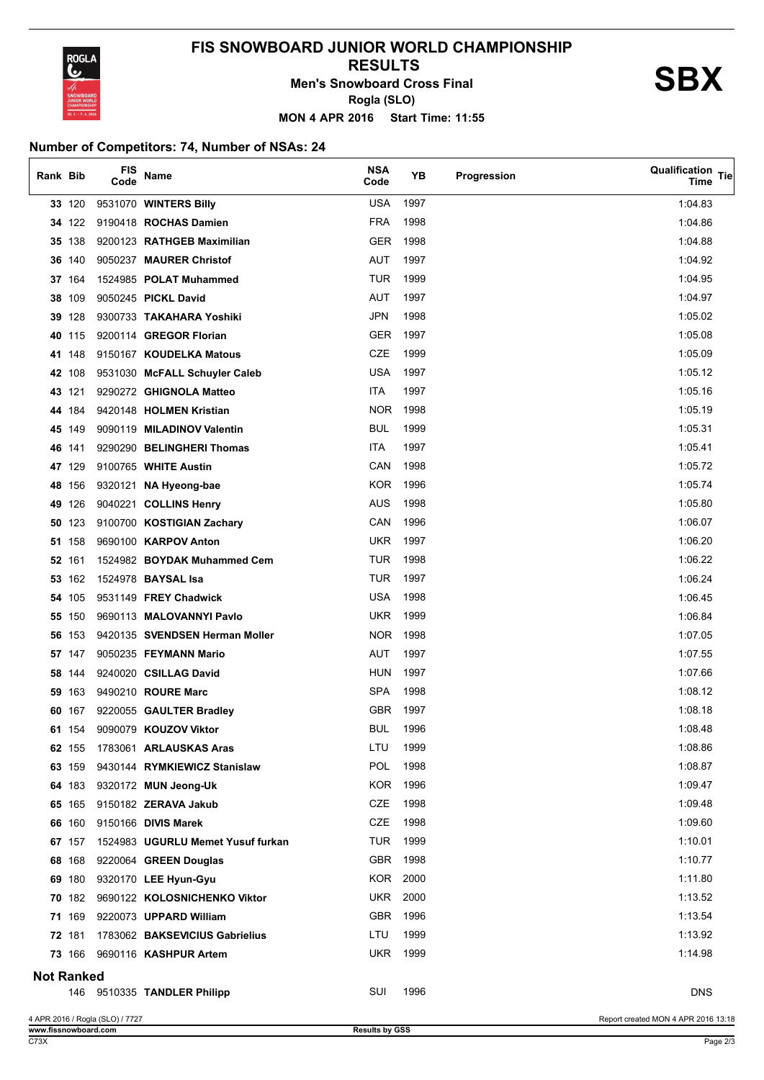

### **FIS SNOWBOARD JUNIOR WORLD CHAMPIONSHIP RESULTS Men's Snowboard Cross Final Rogla (SLO)**

**MON 4 APR 2016 Start Time: 11:55**

**SBX**

#### **Number of Competitors: 74, Number of NSAs: 24**

| Rank Bib             |               | <b>FIS</b><br>Code              | Name                                  | <b>NSA</b><br>Code    | YΒ   | Progression | Qualification<br>Tie<br>Time        |
|----------------------|---------------|---------------------------------|---------------------------------------|-----------------------|------|-------------|-------------------------------------|
|                      | 33 120        |                                 | 9531070 WINTERS Billy                 | <b>USA</b>            | 1997 |             | 1:04.83                             |
|                      | 34 122        |                                 | 9190418 ROCHAS Damien                 | <b>FRA</b>            | 1998 |             | 1:04.86                             |
|                      | 35 138        |                                 | 9200123 RATHGEB Maximilian            | <b>GER</b>            | 1998 |             | 1:04.88                             |
|                      | <b>36</b> 140 |                                 | 9050237 MAURER Christof               | AUT                   | 1997 |             | 1:04.92                             |
|                      | 37 164        |                                 | 1524985 POLAT Muhammed                | TUR                   | 1999 |             | 1:04.95                             |
| 38                   | 109           |                                 | 9050245 PICKL David                   | <b>AUT</b>            | 1997 |             | 1:04.97                             |
|                      | 39 128        |                                 | 9300733 TAKAHARA Yoshiki              | <b>JPN</b>            | 1998 |             | 1:05.02                             |
| 40                   | 115           |                                 | 9200114 GREGOR Florian                | <b>GER</b>            | 1997 |             | 1:05.08                             |
| 41                   | 148           |                                 | 9150167 KOUDELKA Matous               | CZE                   | 1999 |             | 1:05.09                             |
|                      | 42 108        |                                 | 9531030 McFALL Schuyler Caleb         | <b>USA</b>            | 1997 |             | 1:05.12                             |
|                      | 43 121        |                                 | 9290272 GHIGNOLA Matteo               | ITA                   | 1997 |             | 1:05.16                             |
|                      | 44 184        |                                 | 9420148 HOLMEN Kristian               | NOR.                  | 1998 |             | 1:05.19                             |
| 45                   | 149           |                                 | 9090119 MILADINOV Valentin            | <b>BUL</b>            | 1999 |             | 1:05.31                             |
| 46                   | 141           |                                 | 9290290 BELINGHERI Thomas             | ITA                   | 1997 |             | 1:05.41                             |
| 47                   | 129           |                                 | 9100765 WHITE Austin                  | CAN                   | 1998 |             | 1:05.72                             |
| 48                   | 156           |                                 | 9320121 NA Hyeong-bae                 | <b>KOR</b>            | 1996 |             | 1:05.74                             |
| 49                   | 126           |                                 | 9040221 COLLINS Henry                 | AUS                   | 1998 |             | 1:05.80                             |
|                      | 50 123        |                                 | 9100700 KOSTIGIAN Zachary             | CAN                   | 1996 |             | 1:06.07                             |
|                      | 51 158        |                                 | 9690100 KARPOV Anton                  | <b>UKR</b>            | 1997 |             | 1:06.20                             |
|                      | 52 161        |                                 | 1524982 BOYDAK Muhammed Cem           | TUR                   | 1998 |             | 1:06.22                             |
|                      | 53 162        |                                 | 1524978 <b>BAYSAL</b> Isa             | TUR                   | 1997 |             | 1:06.24                             |
| 54                   | 105           |                                 | 9531149 FREY Chadwick                 | <b>USA</b>            | 1998 |             | 1:06.45                             |
|                      | 55 150        |                                 | 9690113 MALOVANNYI Pavlo              | <b>UKR</b>            | 1999 |             | 1:06.84                             |
| 56                   | 153           |                                 | 9420135 SVENDSEN Herman Moller        | <b>NOR</b>            | 1998 |             | 1:07.05                             |
|                      | 57 147        |                                 | 9050235 FEYMANN Mario                 | AUT                   | 1997 |             | 1:07.55                             |
|                      | 58 144        |                                 | 9240020 CSILLAG David                 | HUN                   | 1997 |             | 1:07.66                             |
|                      | 59 163        |                                 | 9490210 ROURE Marc                    | <b>SPA</b>            | 1998 |             | 1:08.12                             |
|                      | 60 167        |                                 | 9220055 GAULTER Bradley               | GBR                   | 1997 |             | 1:08.18                             |
|                      | 61 154        |                                 | 9090079 KOUZOV Viktor                 | <b>BUL</b>            | 1996 |             | 1:08.48                             |
|                      | 62 155        |                                 | 1783061 ARLAUSKAS Aras                | LTU                   | 1999 |             | 1:08.86                             |
|                      | 63 159        |                                 | 9430144 RYMKIEWICZ Stanislaw          | <b>POL</b>            | 1998 |             | 1:08.87                             |
|                      |               |                                 | 64 183 9320172 MUN Jeong-Uk           | KOR.                  | 1996 |             | 1:09.47                             |
|                      | 65 165        |                                 | 9150182 ZERAVA Jakub                  | CZE                   | 1998 |             | 1:09.48                             |
|                      | 66 160        |                                 | 9150166 DIVIS Marek                   | CZE                   | 1998 |             | 1:09.60                             |
|                      | 67 157        |                                 | 1524983 UGURLU Memet Yusuf furkan     | TUR                   | 1999 |             | 1:10.01                             |
|                      |               |                                 | 68 168 9220064 GREEN Douglas          | GBR                   | 1998 |             | 1:10.77                             |
|                      |               |                                 | 69 180 9320170 LEE Hyun-Gyu           | KOR                   | 2000 |             | 1:11.80                             |
|                      |               |                                 | 70 182 9690122 KOLOSNICHENKO Viktor   | <b>UKR</b>            | 2000 |             | 1:13.52                             |
|                      |               |                                 | 71 169 9220073 UPPARD William         | GBR                   | 1996 |             | 1:13.54                             |
|                      |               |                                 | 72 181 1783062 BAKSEVICIUS Gabrielius | LTU                   | 1999 |             | 1:13.92                             |
|                      |               |                                 | 73 166 9690116 KASHPUR Artem          | UKR                   | 1999 |             | 1:14.98                             |
| <b>Not Ranked</b>    |               |                                 |                                       |                       |      |             |                                     |
|                      |               |                                 | 146 9510335 TANDLER Philipp           | SUI                   | 1996 |             | <b>DNS</b>                          |
| www.fissnowboard.com |               | 4 APR 2016 / Rogla (SLO) / 7727 |                                       | <b>Results by GSS</b> |      |             | Report created MON 4 APR 2016 13:18 |